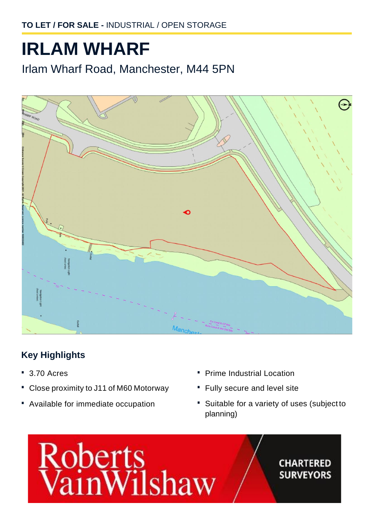# **IRLAM WHARF**

Irlam Wharf Road, Manchester, M44 5PN



## **Key Highlights**

- **·** 3.70 Acres
- **·** Close proximity to J11 of M60 Motorway
- **·** Available for immediate occupation
- **·** Prime Industrial Location
- **·** Fully secure and level site
- **·** Suitable for a variety of uses (subject to planning)

# Roberts<br>VainWilshaw

### **CHARTERED SURVEYORS**